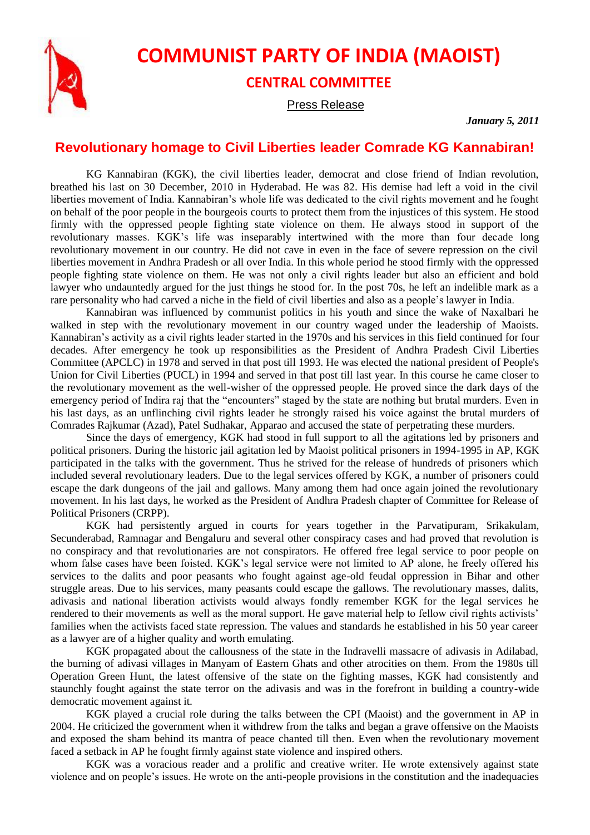

## **COMMUNIST PARTY OF INDIA (MAOIST) CENTRAL COMMITTEE**

Press Release

*January 5, 2011*

## **Revolutionary homage to Civil Liberties leader Comrade KG Kannabiran!**

KG Kannabiran (KGK), the civil liberties leader, democrat and close friend of Indian revolution, breathed his last on 30 December, 2010 in Hyderabad. He was 82. His demise had left a void in the civil liberties movement of India. Kannabiran's whole life was dedicated to the civil rights movement and he fought on behalf of the poor people in the bourgeois courts to protect them from the injustices of this system. He stood firmly with the oppressed people fighting state violence on them. He always stood in support of the revolutionary masses. KGK's life was inseparably intertwined with the more than four decade long revolutionary movement in our country. He did not cave in even in the face of severe repression on the civil liberties movement in Andhra Pradesh or all over India. In this whole period he stood firmly with the oppressed people fighting state violence on them. He was not only a civil rights leader but also an efficient and bold lawyer who undauntedly argued for the just things he stood for. In the post 70s, he left an indelible mark as a rare personality who had carved a niche in the field of civil liberties and also as a people's lawyer in India.

Kannabiran was influenced by communist politics in his youth and since the wake of Naxalbari he walked in step with the revolutionary movement in our country waged under the leadership of Maoists. Kannabiran's activity as a civil rights leader started in the 1970s and his services in this field continued for four decades. After emergency he took up responsibilities as the President of Andhra Pradesh Civil Liberties Committee (APCLC) in 1978 and served in that post till 1993. He was elected the national president of People's Union for Civil Liberties (PUCL) in 1994 and served in that post till last year. In this course he came closer to the revolutionary movement as the well-wisher of the oppressed people. He proved since the dark days of the emergency period of Indira raj that the "encounters" staged by the state are nothing but brutal murders. Even in his last days, as an unflinching civil rights leader he strongly raised his voice against the brutal murders of Comrades Rajkumar (Azad), Patel Sudhakar, Apparao and accused the state of perpetrating these murders.

Since the days of emergency, KGK had stood in full support to all the agitations led by prisoners and political prisoners. During the historic jail agitation led by Maoist political prisoners in 1994-1995 in AP, KGK participated in the talks with the government. Thus he strived for the release of hundreds of prisoners which included several revolutionary leaders. Due to the legal services offered by KGK, a number of prisoners could escape the dark dungeons of the jail and gallows. Many among them had once again joined the revolutionary movement. In his last days, he worked as the President of Andhra Pradesh chapter of Committee for Release of Political Prisoners (CRPP).

KGK had persistently argued in courts for years together in the Parvatipuram, Srikakulam, Secunderabad, Ramnagar and Bengaluru and several other conspiracy cases and had proved that revolution is no conspiracy and that revolutionaries are not conspirators. He offered free legal service to poor people on whom false cases have been foisted. KGK's legal service were not limited to AP alone, he freely offered his services to the dalits and poor peasants who fought against age-old feudal oppression in Bihar and other struggle areas. Due to his services, many peasants could escape the gallows. The revolutionary masses, dalits, adivasis and national liberation activists would always fondly remember KGK for the legal services he rendered to their movements as well as the moral support. He gave material help to fellow civil rights activists' families when the activists faced state repression. The values and standards he established in his 50 year career as a lawyer are of a higher quality and worth emulating.

KGK propagated about the callousness of the state in the Indravelli massacre of adivasis in Adilabad, the burning of adivasi villages in Manyam of Eastern Ghats and other atrocities on them. From the 1980s till Operation Green Hunt, the latest offensive of the state on the fighting masses, KGK had consistently and staunchly fought against the state terror on the adivasis and was in the forefront in building a country-wide democratic movement against it.

KGK played a crucial role during the talks between the CPI (Maoist) and the government in AP in 2004. He criticized the government when it withdrew from the talks and began a grave offensive on the Maoists and exposed the sham behind its mantra of peace chanted till then. Even when the revolutionary movement faced a setback in AP he fought firmly against state violence and inspired others.

KGK was a voracious reader and a prolific and creative writer. He wrote extensively against state violence and on people's issues. He wrote on the anti-people provisions in the constitution and the inadequacies